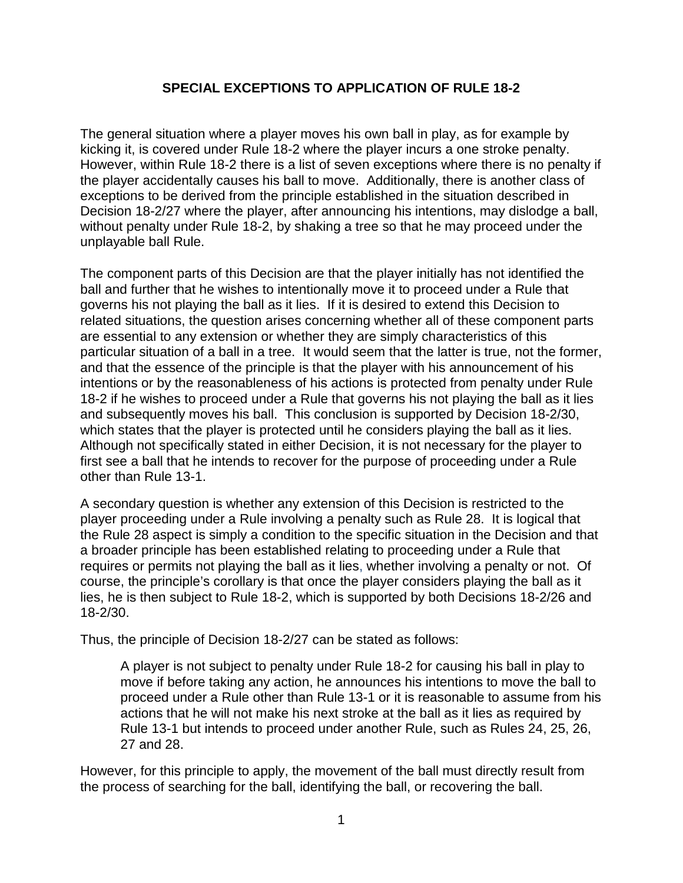## **SPECIAL EXCEPTIONS TO APPLICATION OF RULE 18-2**

The general situation where a player moves his own ball in play, as for example by kicking it, is covered under Rule 18-2 where the player incurs a one stroke penalty. However, within Rule 18-2 there is a list of seven exceptions where there is no penalty if the player accidentally causes his ball to move. Additionally, there is another class of exceptions to be derived from the principle established in the situation described in Decision 18-2/27 where the player, after announcing his intentions, may dislodge a ball, without penalty under Rule 18-2, by shaking a tree so that he may proceed under the unplayable ball Rule.

The component parts of this Decision are that the player initially has not identified the ball and further that he wishes to intentionally move it to proceed under a Rule that governs his not playing the ball as it lies. If it is desired to extend this Decision to related situations, the question arises concerning whether all of these component parts are essential to any extension or whether they are simply characteristics of this particular situation of a ball in a tree. It would seem that the latter is true, not the former, and that the essence of the principle is that the player with his announcement of his intentions or by the reasonableness of his actions is protected from penalty under Rule 18-2 if he wishes to proceed under a Rule that governs his not playing the ball as it lies and subsequently moves his ball. This conclusion is supported by Decision 18-2/30, which states that the player is protected until he considers playing the ball as it lies. Although not specifically stated in either Decision, it is not necessary for the player to first see a ball that he intends to recover for the purpose of proceeding under a Rule other than Rule 13-1.

A secondary question is whether any extension of this Decision is restricted to the player proceeding under a Rule involving a penalty such as Rule 28. It is logical that the Rule 28 aspect is simply a condition to the specific situation in the Decision and that a broader principle has been established relating to proceeding under a Rule that requires or permits not playing the ball as it lies, whether involving a penalty or not. Of course, the principle's corollary is that once the player considers playing the ball as it lies, he is then subject to Rule 18-2, which is supported by both Decisions 18-2/26 and 18-2/30.

Thus, the principle of Decision 18-2/27 can be stated as follows:

A player is not subject to penalty under Rule 18-2 for causing his ball in play to move if before taking any action, he announces his intentions to move the ball to proceed under a Rule other than Rule 13-1 or it is reasonable to assume from his actions that he will not make his next stroke at the ball as it lies as required by Rule 13-1 but intends to proceed under another Rule, such as Rules 24, 25, 26, 27 and 28.

However, for this principle to apply, the movement of the ball must directly result from the process of searching for the ball, identifying the ball, or recovering the ball.